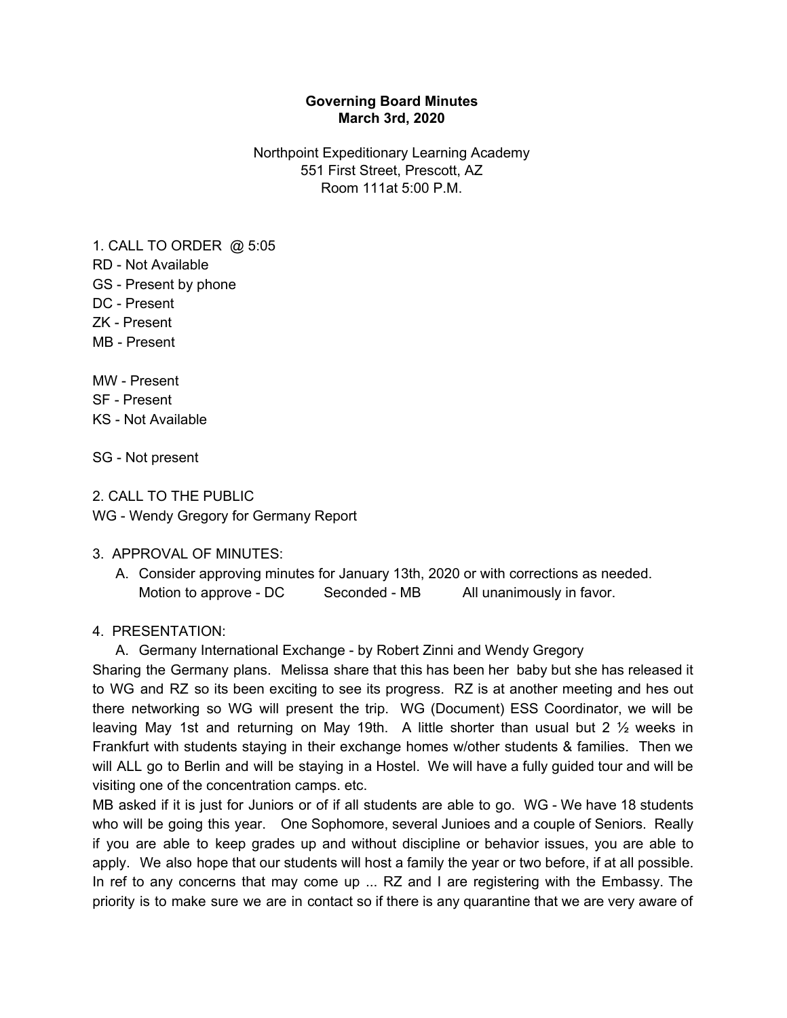### **Governing Board Minutes March 3rd, 2020**

Northpoint Expeditionary Learning Academy 551 First Street, Prescott, AZ Room 111at 5:00 P.M.

1. CALL TO ORDER @ 5:05 RD - Not Available GS - Present by phone DC - Present ZK - Present MB - Present

MW - Present SF - Present KS - Not Available

SG - Not present

2. CALL TO THE PUBLIC WG - Wendy Gregory for Germany Report

### 3. APPROVAL OF MINUTES:

A. Consider approving minutes for January 13th, 2020 or with corrections as needed. Motion to approve - DC Seconded - MB All unanimously in favor.

#### 4. PRESENTATION:

A. Germany International Exchange - by Robert Zinni and Wendy Gregory

Sharing the Germany plans. Melissa share that this has been her baby but she has released it to WG and RZ so its been exciting to see its progress. RZ is at another meeting and hes out there networking so WG will present the trip. WG (Document) ESS Coordinator, we will be leaving May 1st and returning on May 19th. A little shorter than usual but 2 ½ weeks in Frankfurt with students staying in their exchange homes w/other students & families. Then we will ALL go to Berlin and will be staying in a Hostel. We will have a fully guided tour and will be visiting one of the concentration camps. etc.

MB asked if it is just for Juniors or of if all students are able to go. WG - We have 18 students who will be going this year. One Sophomore, several Junioes and a couple of Seniors. Really if you are able to keep grades up and without discipline or behavior issues, you are able to apply. We also hope that our students will host a family the year or two before, if at all possible. In ref to any concerns that may come up ... RZ and I are registering with the Embassy. The priority is to make sure we are in contact so if there is any quarantine that we are very aware of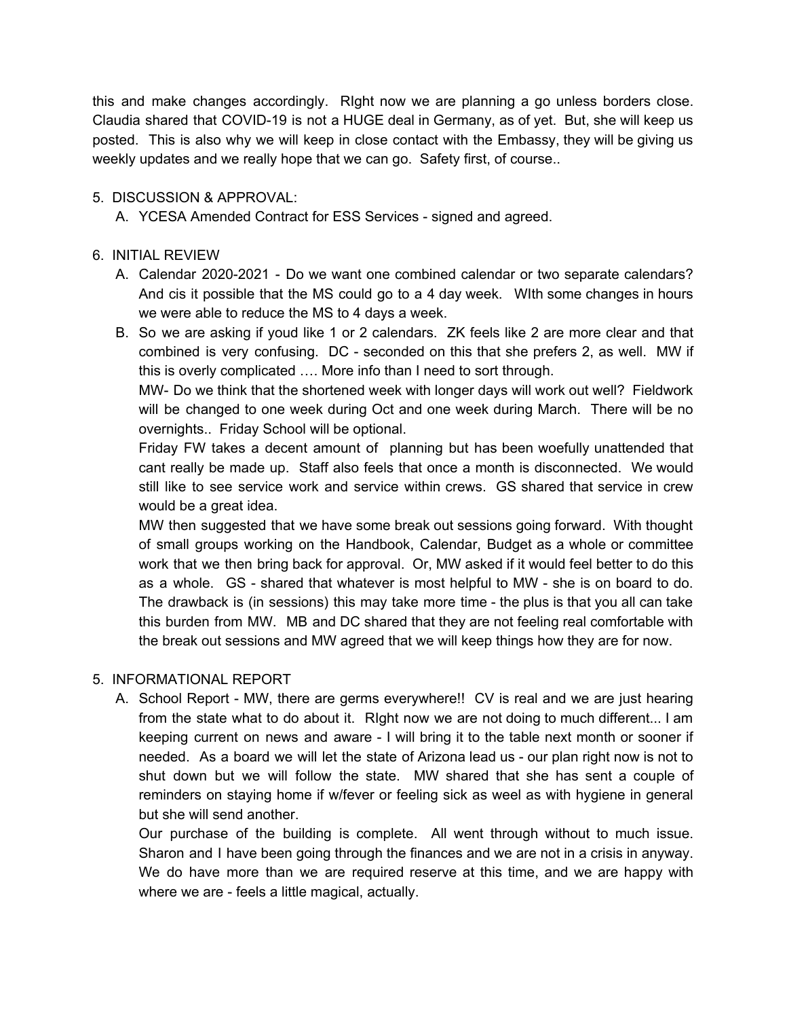this and make changes accordingly. RIght now we are planning a go unless borders close. Claudia shared that COVID-19 is not a HUGE deal in Germany, as of yet. But, she will keep us posted. This is also why we will keep in close contact with the Embassy, they will be giving us weekly updates and we really hope that we can go. Safety first, of course..

## 5. DISCUSSION & APPROVAL:

A. YCESA Amended Contract for ESS Services - signed and agreed.

## 6. INITIAL REVIEW

- A. Calendar 2020-2021 Do we want one combined calendar or two separate calendars? And cis it possible that the MS could go to a 4 day week. WIth some changes in hours we were able to reduce the MS to 4 days a week.
- B. So we are asking if youd like 1 or 2 calendars. ZK feels like 2 are more clear and that combined is very confusing. DC - seconded on this that she prefers 2, as well. MW if this is overly complicated …. More info than I need to sort through.

MW- Do we think that the shortened week with longer days will work out well? Fieldwork will be changed to one week during Oct and one week during March. There will be no overnights.. Friday School will be optional.

Friday FW takes a decent amount of planning but has been woefully unattended that cant really be made up. Staff also feels that once a month is disconnected. We would still like to see service work and service within crews. GS shared that service in crew would be a great idea.

MW then suggested that we have some break out sessions going forward. With thought of small groups working on the Handbook, Calendar, Budget as a whole or committee work that we then bring back for approval. Or, MW asked if it would feel better to do this as a whole. GS - shared that whatever is most helpful to MW - she is on board to do. The drawback is (in sessions) this may take more time - the plus is that you all can take this burden from MW. MB and DC shared that they are not feeling real comfortable with the break out sessions and MW agreed that we will keep things how they are for now.

# 5. INFORMATIONAL REPORT

A. School Report - MW, there are germs everywhere!! CV is real and we are just hearing from the state what to do about it. RIght now we are not doing to much different... I am keeping current on news and aware - I will bring it to the table next month or sooner if needed. As a board we will let the state of Arizona lead us - our plan right now is not to shut down but we will follow the state. MW shared that she has sent a couple of reminders on staying home if w/fever or feeling sick as weel as with hygiene in general but she will send another.

Our purchase of the building is complete. All went through without to much issue. Sharon and I have been going through the finances and we are not in a crisis in anyway. We do have more than we are required reserve at this time, and we are happy with where we are - feels a little magical, actually.